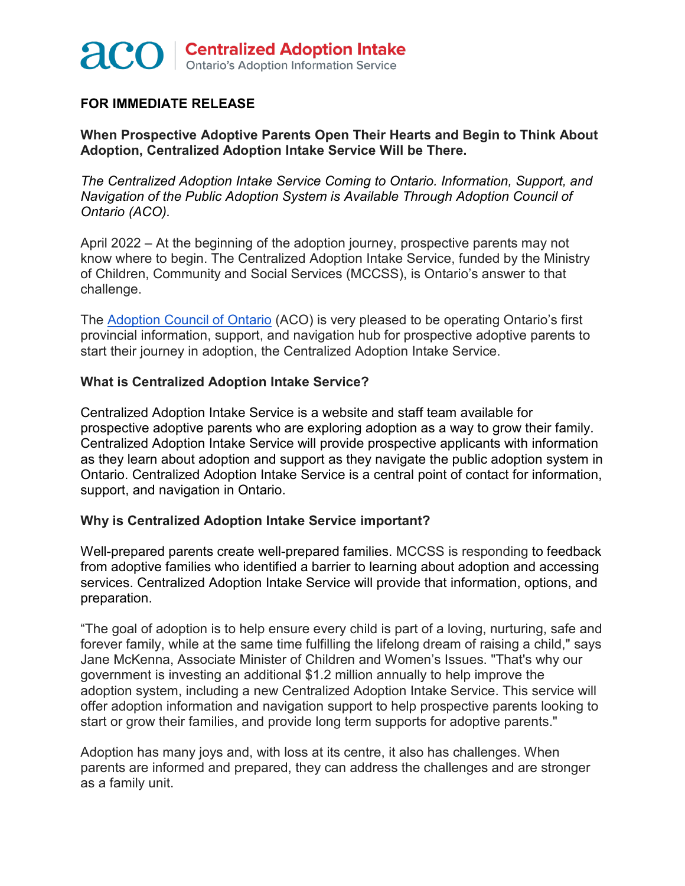

## **FOR IMMEDIATE RELEASE**

**When Prospective Adoptive Parents Open Their Hearts and Begin to Think About Adoption, Centralized Adoption Intake Service Will be There.**

*The Centralized Adoption Intake Service Coming to Ontario. Information, Support, and Navigation of the Public Adoption System is Available Through Adoption Council of Ontario (ACO).*

April 2022 – At the beginning of the adoption journey, prospective parents may not know where to begin. The Centralized Adoption Intake Service, funded by the Ministry of Children, Community and Social Services (MCCSS), is Ontario's answer to that challenge.

The [Adoption Council of Ontario](https://www.adoption.on.ca/) (ACO) is very pleased to be operating Ontario's first provincial information, support, and navigation hub for prospective adoptive parents to start their journey in adoption, the Centralized Adoption Intake Service.

## **What is Centralized Adoption Intake Service?**

Centralized Adoption Intake Service is a website and staff team available for prospective adoptive parents who are exploring adoption as a way to grow their family. Centralized Adoption Intake Service will provide prospective applicants with information as they learn about adoption and support as they navigate the public adoption system in Ontario. Centralized Adoption Intake Service is a central point of contact for information, support, and navigation in Ontario.

## **Why is Centralized Adoption Intake Service important?**

Well-prepared parents create well-prepared families. MCCSS is responding to feedback from adoptive families who identified a barrier to learning about adoption and accessing services. Centralized Adoption Intake Service will provide that information, options, and preparation.

"The goal of adoption is to help ensure every child is part of a loving, nurturing, safe and forever family, while at the same time fulfilling the lifelong dream of raising a child," says Jane McKenna, Associate Minister of Children and Women's Issues. "That's why our government is investing an additional \$1.2 million annually to help improve the adoption system, including a new Centralized Adoption Intake Service. This service will offer adoption information and navigation support to help prospective parents looking to start or grow their families, and provide long term supports for adoptive parents."

Adoption has many joys and, with loss at its centre, it also has challenges. When parents are informed and prepared, they can address the challenges and are stronger as a family unit.